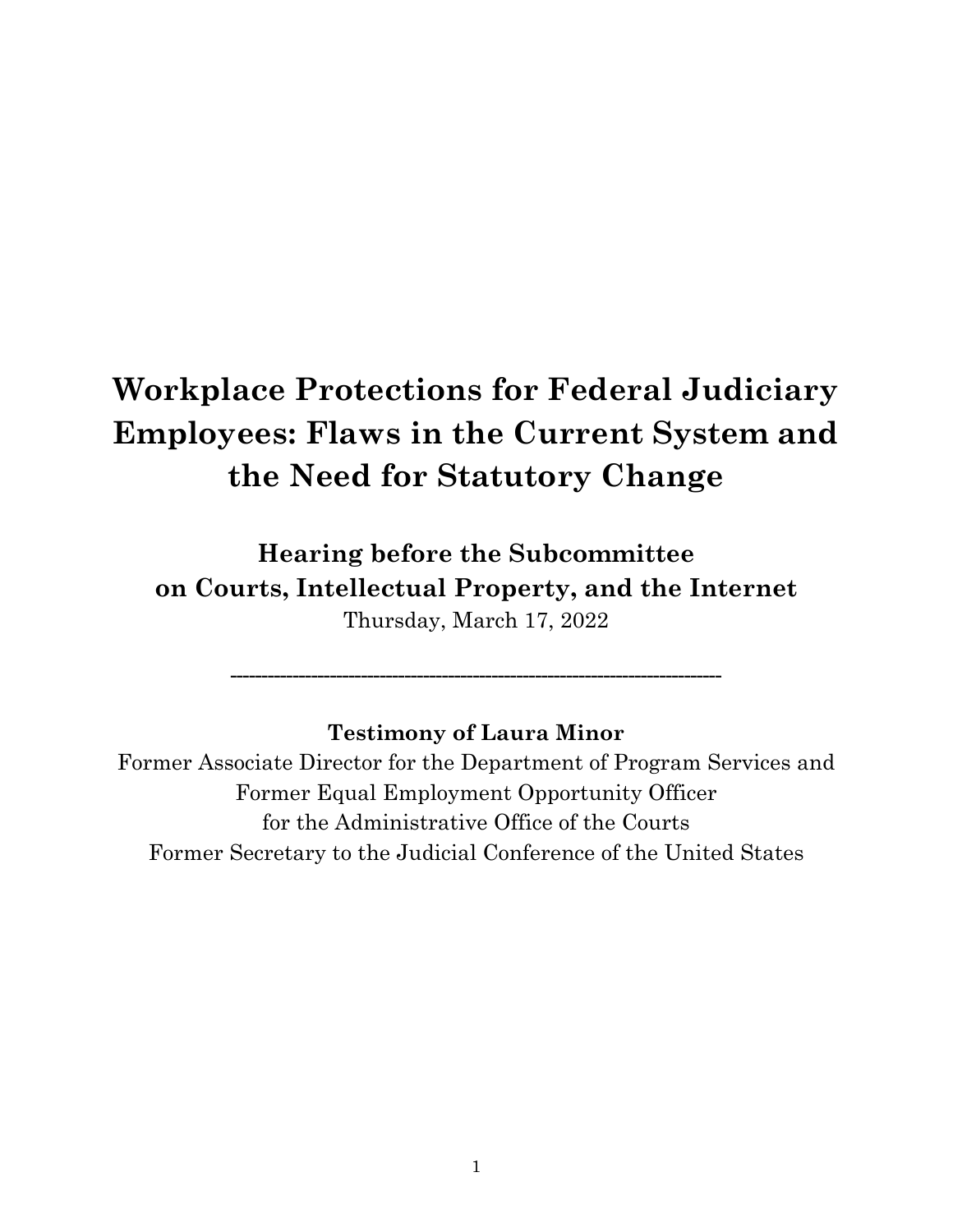# **Workplace Protections for Federal Judiciary Employees: Flaws in the Current System and the Need for Statutory Change**

**Hearing before the Subcommittee on Courts, Intellectual Property, and the Internet**  Thursday, March 17, 2022

# **Testimony of Laura Minor**

**-------------------------------------------------------------------------------** 

Former Associate Director for the Department of Program Services and Former Equal Employment Opportunity Officer for the Administrative Office of the Courts Former Secretary to the Judicial Conference of the United States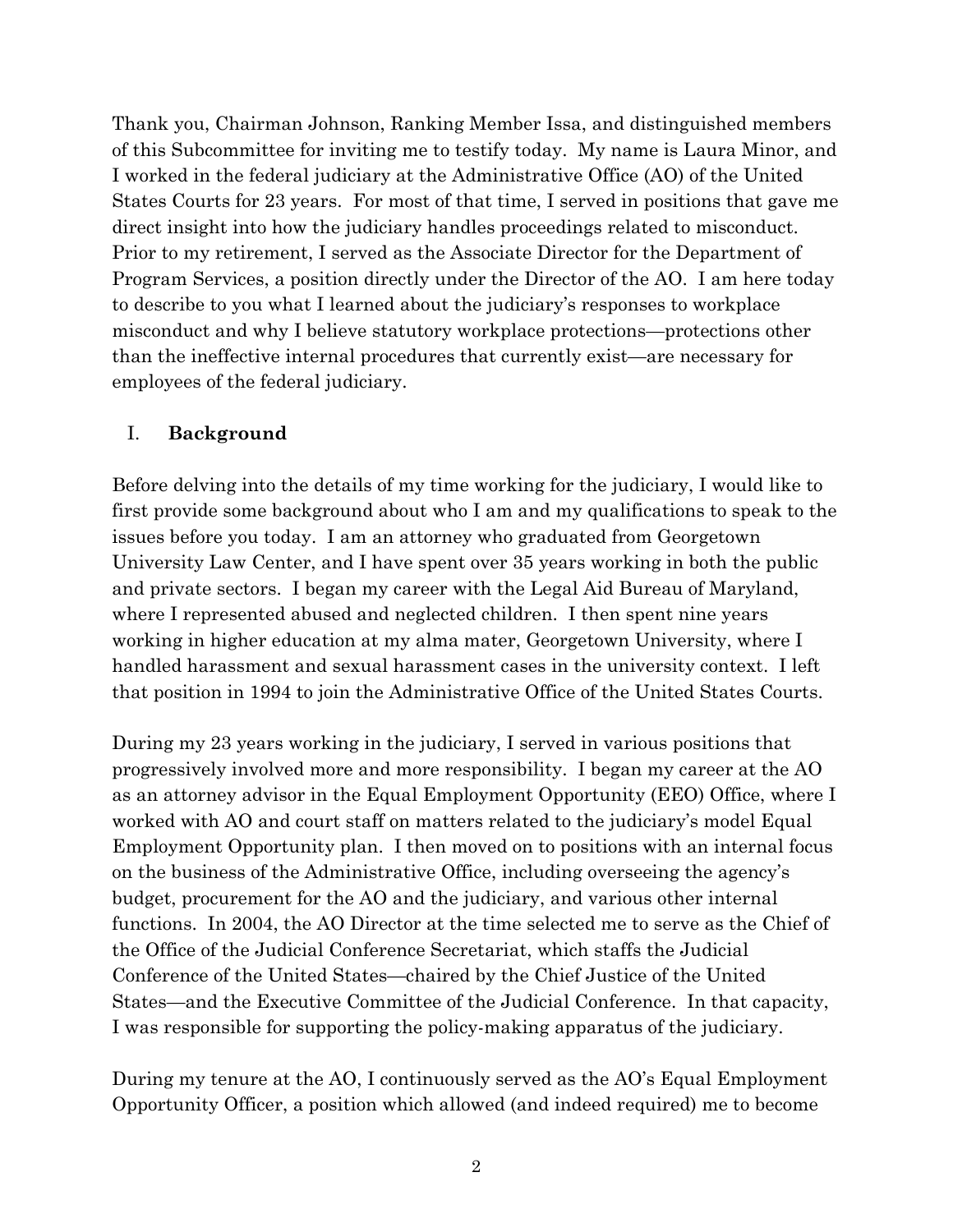Thank you, Chairman Johnson, Ranking Member Issa, and distinguished members of this Subcommittee for inviting me to testify today. My name is Laura Minor, and I worked in the federal judiciary at the Administrative Office (AO) of the United States Courts for 23 years. For most of that time, I served in positions that gave me direct insight into how the judiciary handles proceedings related to misconduct. Prior to my retirement, I served as the Associate Director for the Department of Program Services, a position directly under the Director of the AO. I am here today to describe to you what I learned about the judiciary's responses to workplace misconduct and why I believe statutory workplace protections—protections other than the ineffective internal procedures that currently exist—are necessary for employees of the federal judiciary.

### I. **Background**

Before delving into the details of my time working for the judiciary, I would like to first provide some background about who I am and my qualifications to speak to the issues before you today. I am an attorney who graduated from Georgetown University Law Center, and I have spent over 35 years working in both the public and private sectors. I began my career with the Legal Aid Bureau of Maryland, where I represented abused and neglected children. I then spent nine years working in higher education at my alma mater, Georgetown University, where I handled harassment and sexual harassment cases in the university context. I left that position in 1994 to join the Administrative Office of the United States Courts.

During my 23 years working in the judiciary, I served in various positions that progressively involved more and more responsibility. I began my career at the AO as an attorney advisor in the Equal Employment Opportunity (EEO) Office, where I worked with AO and court staff on matters related to the judiciary's model Equal Employment Opportunity plan. I then moved on to positions with an internal focus on the business of the Administrative Office, including overseeing the agency's budget, procurement for the AO and the judiciary, and various other internal functions. In 2004, the AO Director at the time selected me to serve as the Chief of the Office of the Judicial Conference Secretariat, which staffs the Judicial Conference of the United States—chaired by the Chief Justice of the United States—and the Executive Committee of the Judicial Conference. In that capacity, I was responsible for supporting the policy-making apparatus of the judiciary.

During my tenure at the AO, I continuously served as the AO's Equal Employment Opportunity Officer, a position which allowed (and indeed required) me to become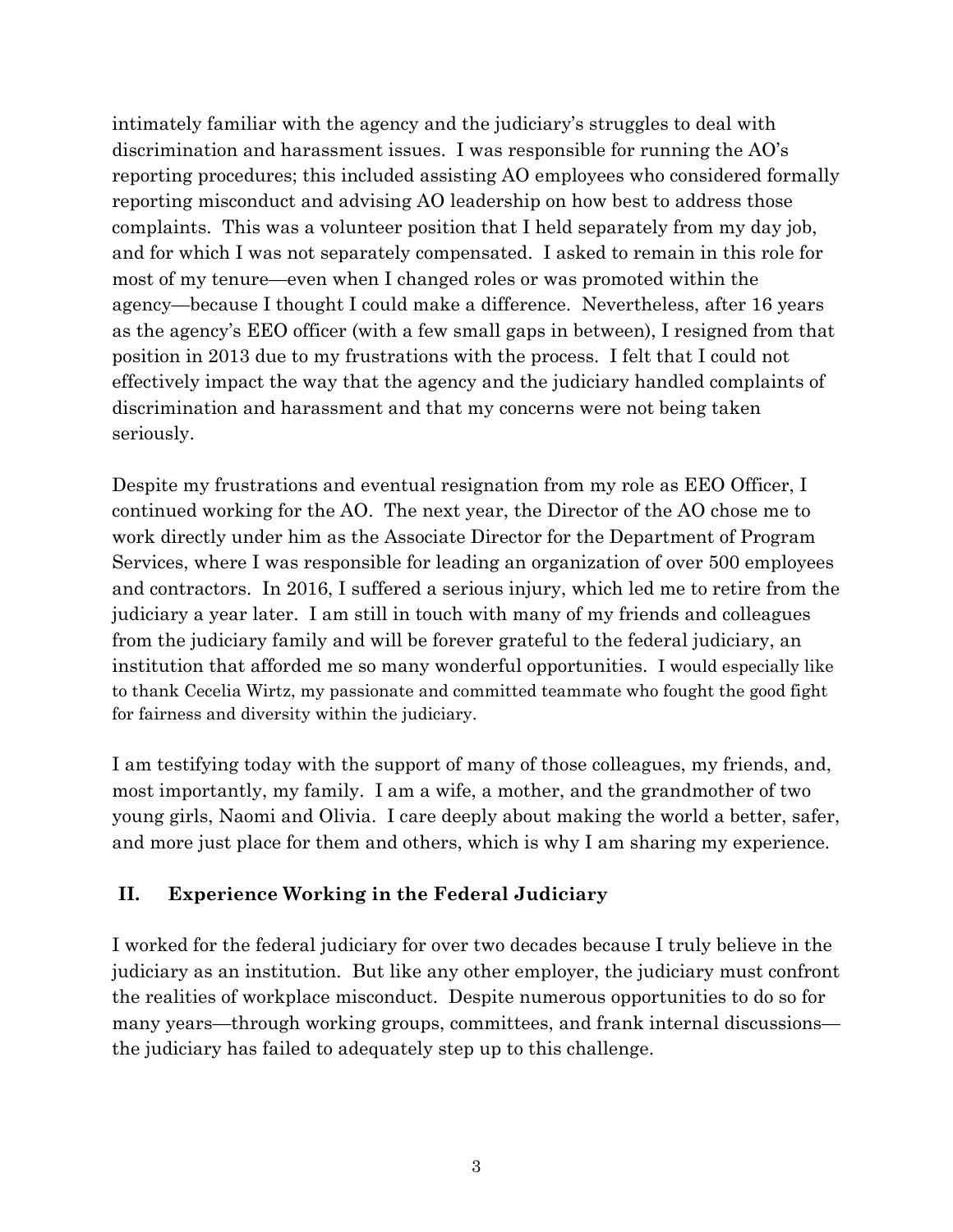intimately familiar with the agency and the judiciary's struggles to deal with discrimination and harassment issues. I was responsible for running the AO's reporting procedures; this included assisting AO employees who considered formally reporting misconduct and advising AO leadership on how best to address those complaints. This was a volunteer position that I held separately from my day job, and for which I was not separately compensated. I asked to remain in this role for most of my tenure—even when I changed roles or was promoted within the agency—because I thought I could make a difference. Nevertheless, after 16 years as the agency's EEO officer (with a few small gaps in between), I resigned from that position in 2013 due to my frustrations with the process. I felt that I could not effectively impact the way that the agency and the judiciary handled complaints of discrimination and harassment and that my concerns were not being taken seriously.

Despite my frustrations and eventual resignation from my role as EEO Officer, I continued working for the AO. The next year, the Director of the AO chose me to work directly under him as the Associate Director for the Department of Program Services, where I was responsible for leading an organization of over 500 employees and contractors. In 2016, I suffered a serious injury, which led me to retire from the judiciary a year later. I am still in touch with many of my friends and colleagues from the judiciary family and will be forever grateful to the federal judiciary, an institution that afforded me so many wonderful opportunities. I would especially like to thank Cecelia Wirtz, my passionate and committed teammate who fought the good fight for fairness and diversity within the judiciary.

I am testifying today with the support of many of those colleagues, my friends, and, most importantly, my family. I am a wife, a mother, and the grandmother of two young girls, Naomi and Olivia. I care deeply about making the world a better, safer, and more just place for them and others, which is why I am sharing my experience.

# **II. Experience Working in the Federal Judiciary**

I worked for the federal judiciary for over two decades because I truly believe in the judiciary as an institution. But like any other employer, the judiciary must confront the realities of workplace misconduct. Despite numerous opportunities to do so for many years—through working groups, committees, and frank internal discussions the judiciary has failed to adequately step up to this challenge.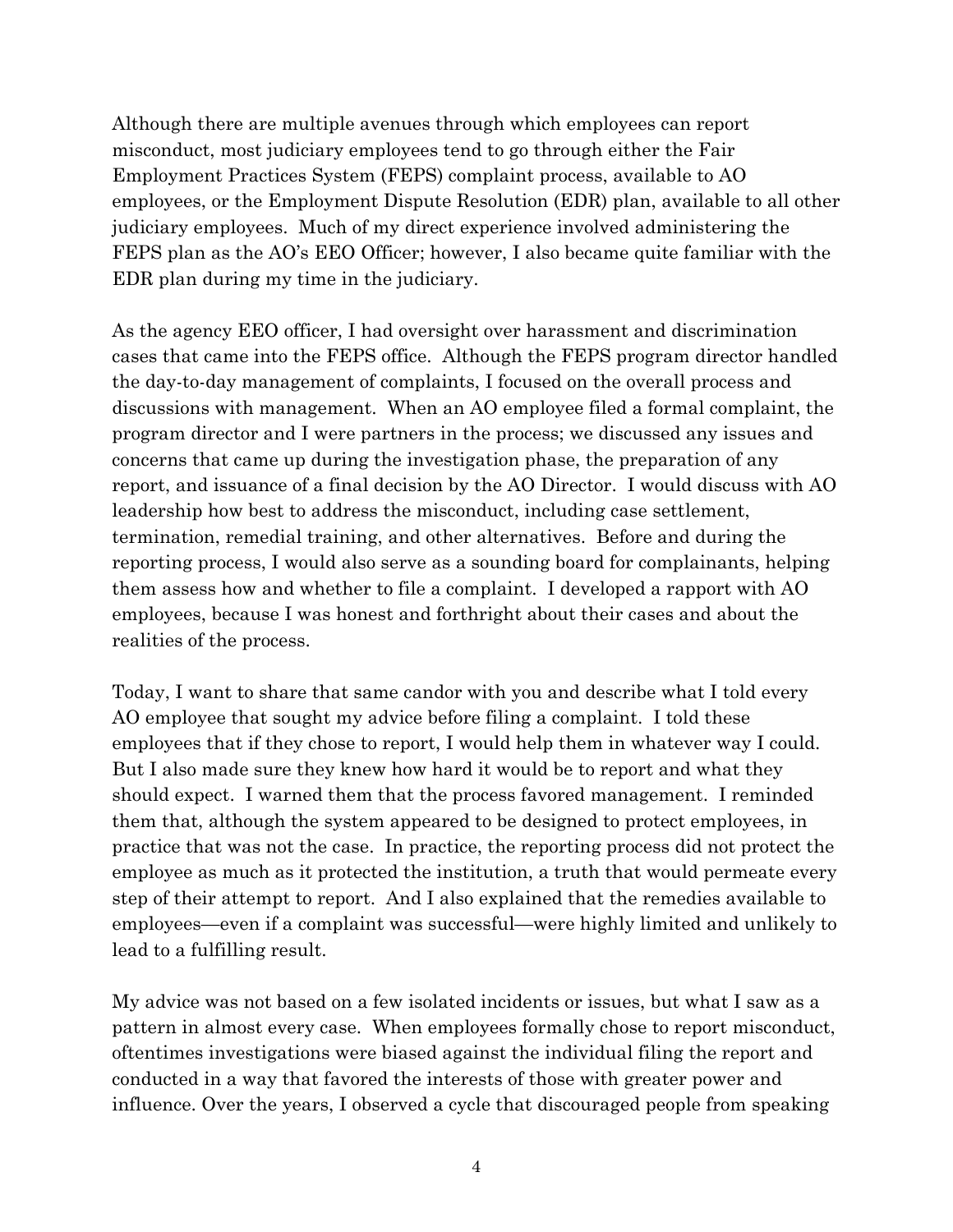Although there are multiple avenues through which employees can report misconduct, most judiciary employees tend to go through either the Fair Employment Practices System (FEPS) complaint process, available to AO employees, or the Employment Dispute Resolution (EDR) plan, available to all other judiciary employees. Much of my direct experience involved administering the FEPS plan as the AO's EEO Officer; however, I also became quite familiar with the EDR plan during my time in the judiciary.

As the agency EEO officer, I had oversight over harassment and discrimination cases that came into the FEPS office. Although the FEPS program director handled the day-to-day management of complaints, I focused on the overall process and discussions with management. When an AO employee filed a formal complaint, the program director and I were partners in the process; we discussed any issues and concerns that came up during the investigation phase, the preparation of any report, and issuance of a final decision by the AO Director. I would discuss with AO leadership how best to address the misconduct, including case settlement, termination, remedial training, and other alternatives. Before and during the reporting process, I would also serve as a sounding board for complainants, helping them assess how and whether to file a complaint. I developed a rapport with AO employees, because I was honest and forthright about their cases and about the realities of the process.

Today, I want to share that same candor with you and describe what I told every AO employee that sought my advice before filing a complaint. I told these employees that if they chose to report, I would help them in whatever way I could. But I also made sure they knew how hard it would be to report and what they should expect. I warned them that the process favored management. I reminded them that, although the system appeared to be designed to protect employees, in practice that was not the case. In practice, the reporting process did not protect the employee as much as it protected the institution, a truth that would permeate every step of their attempt to report. And I also explained that the remedies available to employees—even if a complaint was successful—were highly limited and unlikely to lead to a fulfilling result.

My advice was not based on a few isolated incidents or issues, but what I saw as a pattern in almost every case. When employees formally chose to report misconduct, oftentimes investigations were biased against the individual filing the report and conducted in a way that favored the interests of those with greater power and influence. Over the years, I observed a cycle that discouraged people from speaking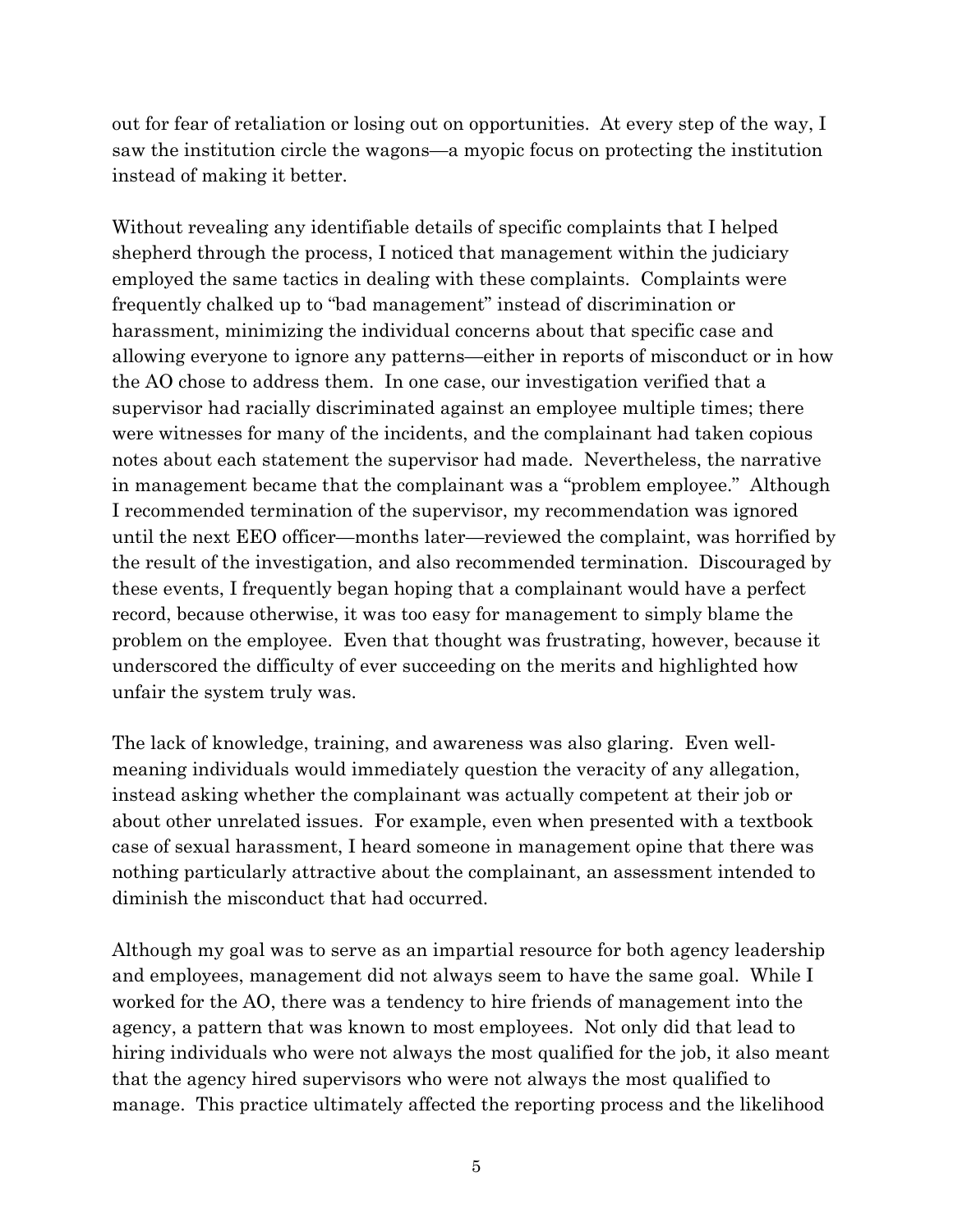out for fear of retaliation or losing out on opportunities. At every step of the way, I saw the institution circle the wagons—a myopic focus on protecting the institution instead of making it better.

Without revealing any identifiable details of specific complaints that I helped shepherd through the process, I noticed that management within the judiciary employed the same tactics in dealing with these complaints. Complaints were frequently chalked up to "bad management" instead of discrimination or harassment, minimizing the individual concerns about that specific case and allowing everyone to ignore any patterns—either in reports of misconduct or in how the AO chose to address them. In one case, our investigation verified that a supervisor had racially discriminated against an employee multiple times; there were witnesses for many of the incidents, and the complainant had taken copious notes about each statement the supervisor had made. Nevertheless, the narrative in management became that the complainant was a "problem employee." Although I recommended termination of the supervisor, my recommendation was ignored until the next EEO officer—months later—reviewed the complaint, was horrified by the result of the investigation, and also recommended termination. Discouraged by these events, I frequently began hoping that a complainant would have a perfect record, because otherwise, it was too easy for management to simply blame the problem on the employee. Even that thought was frustrating, however, because it underscored the difficulty of ever succeeding on the merits and highlighted how unfair the system truly was.

The lack of knowledge, training, and awareness was also glaring. Even wellmeaning individuals would immediately question the veracity of any allegation, instead asking whether the complainant was actually competent at their job or about other unrelated issues. For example, even when presented with a textbook case of sexual harassment, I heard someone in management opine that there was nothing particularly attractive about the complainant, an assessment intended to diminish the misconduct that had occurred.

Although my goal was to serve as an impartial resource for both agency leadership and employees, management did not always seem to have the same goal. While I worked for the AO, there was a tendency to hire friends of management into the agency, a pattern that was known to most employees. Not only did that lead to hiring individuals who were not always the most qualified for the job, it also meant that the agency hired supervisors who were not always the most qualified to manage. This practice ultimately affected the reporting process and the likelihood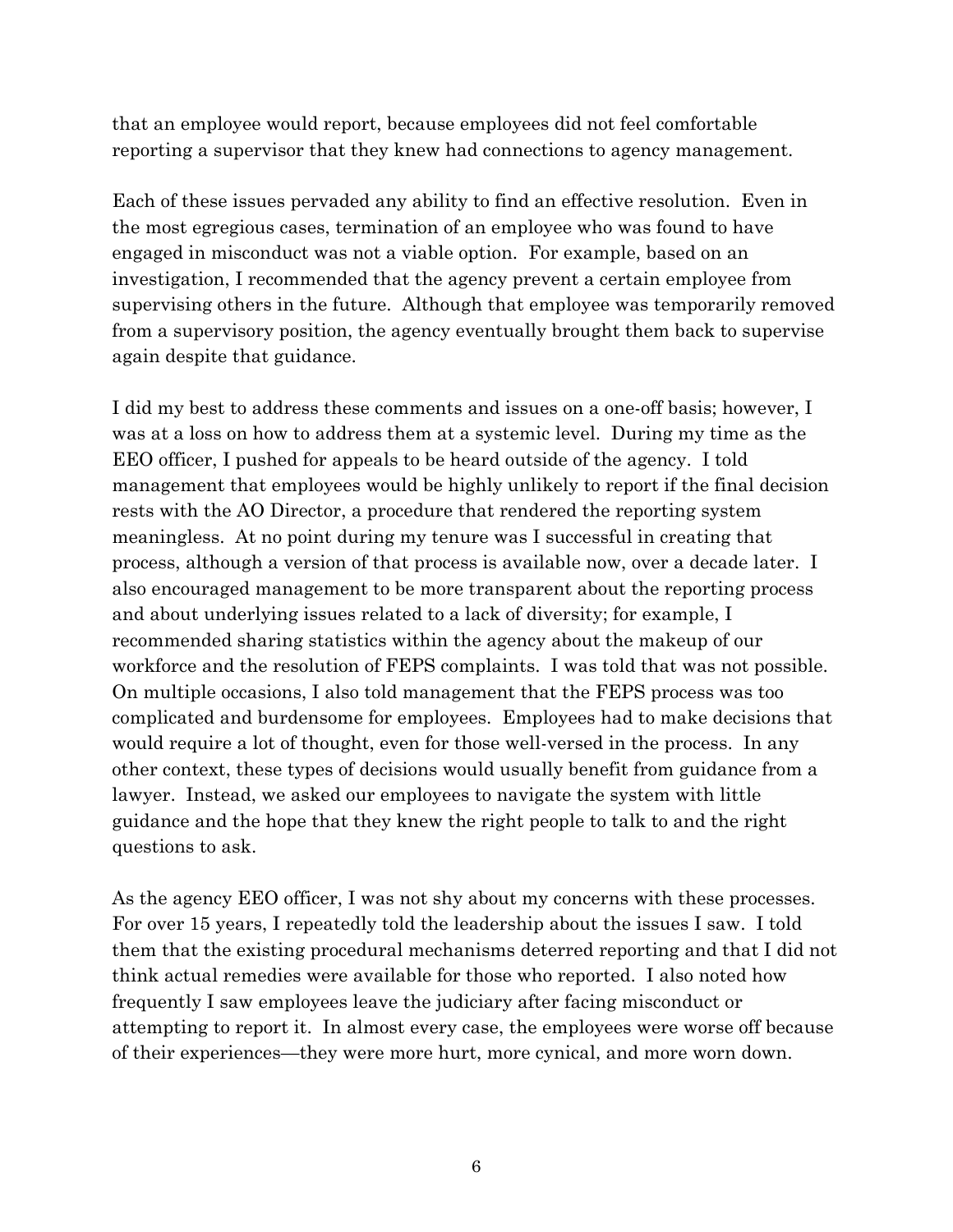that an employee would report, because employees did not feel comfortable reporting a supervisor that they knew had connections to agency management.

Each of these issues pervaded any ability to find an effective resolution. Even in the most egregious cases, termination of an employee who was found to have engaged in misconduct was not a viable option. For example, based on an investigation, I recommended that the agency prevent a certain employee from supervising others in the future. Although that employee was temporarily removed from a supervisory position, the agency eventually brought them back to supervise again despite that guidance.

I did my best to address these comments and issues on a one-off basis; however, I was at a loss on how to address them at a systemic level. During my time as the EEO officer, I pushed for appeals to be heard outside of the agency. I told management that employees would be highly unlikely to report if the final decision rests with the AO Director, a procedure that rendered the reporting system meaningless. At no point during my tenure was I successful in creating that process, although a version of that process is available now, over a decade later. I also encouraged management to be more transparent about the reporting process and about underlying issues related to a lack of diversity; for example, I recommended sharing statistics within the agency about the makeup of our workforce and the resolution of FEPS complaints. I was told that was not possible. On multiple occasions, I also told management that the FEPS process was too complicated and burdensome for employees. Employees had to make decisions that would require a lot of thought, even for those well-versed in the process. In any other context, these types of decisions would usually benefit from guidance from a lawyer. Instead, we asked our employees to navigate the system with little guidance and the hope that they knew the right people to talk to and the right questions to ask.

As the agency EEO officer, I was not shy about my concerns with these processes. For over 15 years, I repeatedly told the leadership about the issues I saw. I told them that the existing procedural mechanisms deterred reporting and that I did not think actual remedies were available for those who reported. I also noted how frequently I saw employees leave the judiciary after facing misconduct or attempting to report it. In almost every case, the employees were worse off because of their experiences—they were more hurt, more cynical, and more worn down.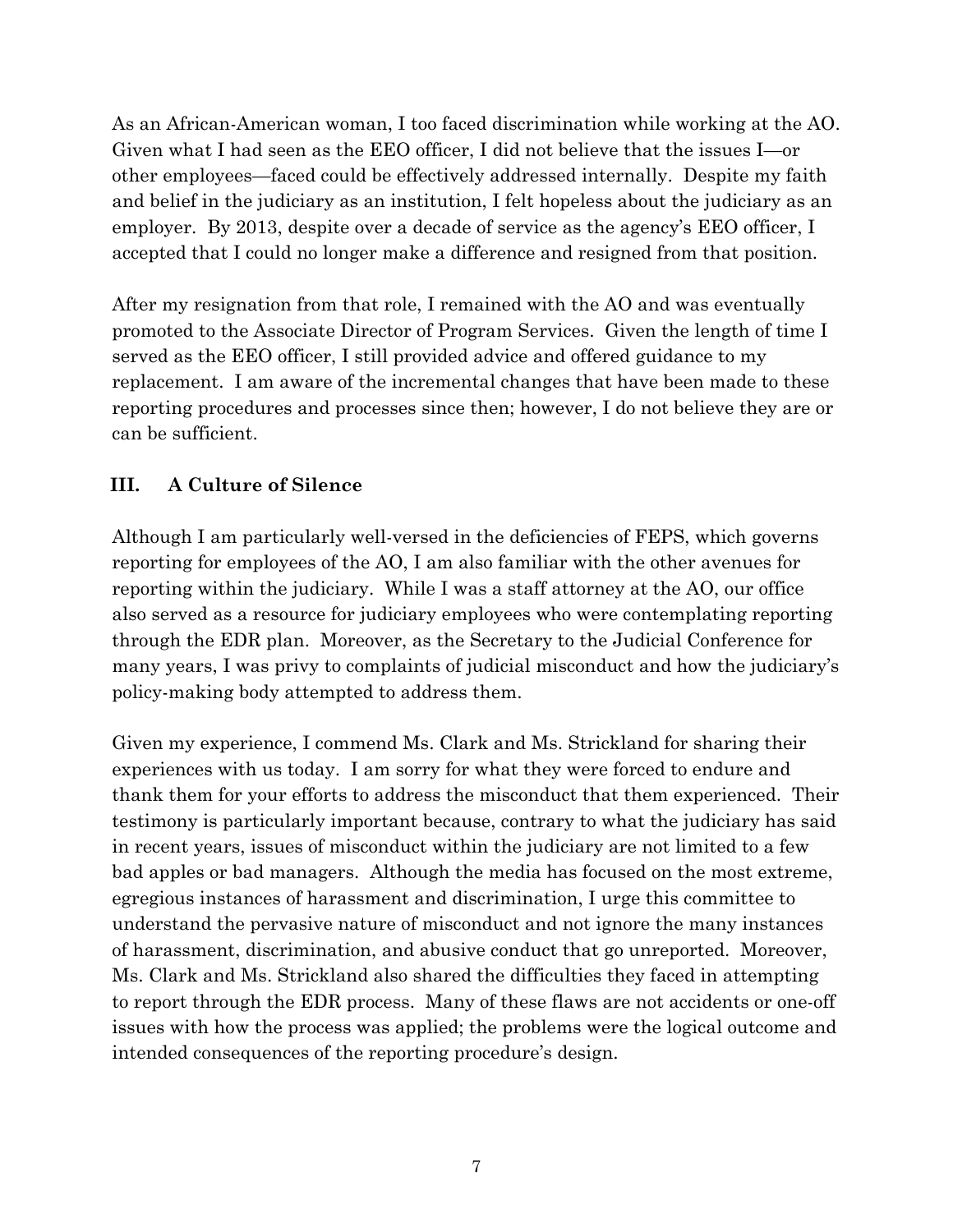As an African-American woman, I too faced discrimination while working at the AO. Given what I had seen as the EEO officer, I did not believe that the issues I—or other employees—faced could be effectively addressed internally. Despite my faith and belief in the judiciary as an institution, I felt hopeless about the judiciary as an employer. By 2013, despite over a decade of service as the agency's EEO officer, I accepted that I could no longer make a difference and resigned from that position.

After my resignation from that role, I remained with the AO and was eventually promoted to the Associate Director of Program Services. Given the length of time I served as the EEO officer, I still provided advice and offered guidance to my replacement. I am aware of the incremental changes that have been made to these reporting procedures and processes since then; however, I do not believe they are or can be sufficient.

# **III. A Culture of Silence**

Although I am particularly well-versed in the deficiencies of FEPS, which governs reporting for employees of the AO, I am also familiar with the other avenues for reporting within the judiciary. While I was a staff attorney at the AO, our office also served as a resource for judiciary employees who were contemplating reporting through the EDR plan. Moreover, as the Secretary to the Judicial Conference for many years, I was privy to complaints of judicial misconduct and how the judiciary's policy-making body attempted to address them.

Given my experience, I commend Ms. Clark and Ms. Strickland for sharing their experiences with us today. I am sorry for what they were forced to endure and thank them for your efforts to address the misconduct that them experienced. Their testimony is particularly important because, contrary to what the judiciary has said in recent years, issues of misconduct within the judiciary are not limited to a few bad apples or bad managers. Although the media has focused on the most extreme, egregious instances of harassment and discrimination, I urge this committee to understand the pervasive nature of misconduct and not ignore the many instances of harassment, discrimination, and abusive conduct that go unreported. Moreover, Ms. Clark and Ms. Strickland also shared the difficulties they faced in attempting to report through the EDR process. Many of these flaws are not accidents or one-off issues with how the process was applied; the problems were the logical outcome and intended consequences of the reporting procedure's design.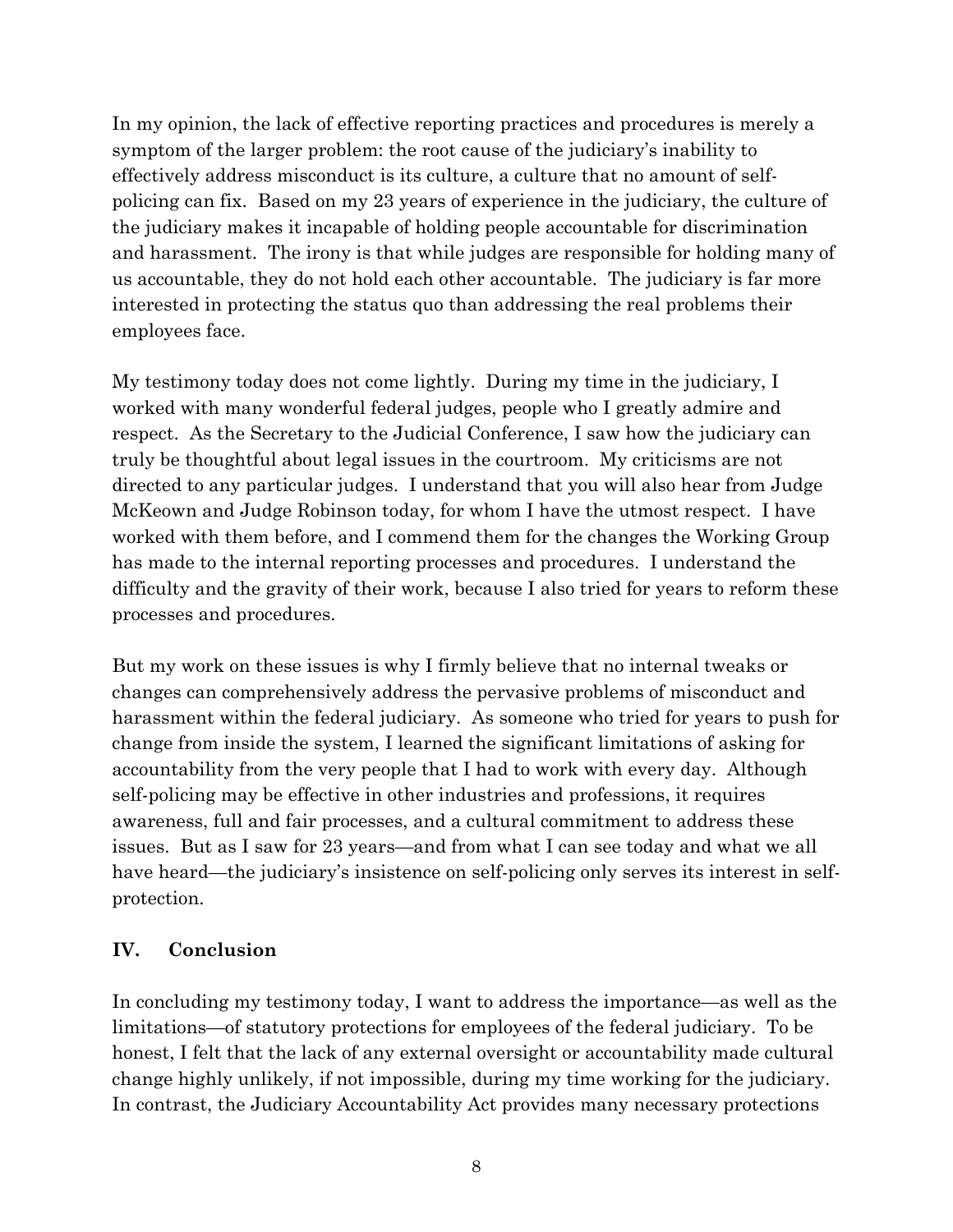In my opinion, the lack of effective reporting practices and procedures is merely a symptom of the larger problem: the root cause of the judiciary's inability to effectively address misconduct is its culture, a culture that no amount of selfpolicing can fix. Based on my 23 years of experience in the judiciary, the culture of the judiciary makes it incapable of holding people accountable for discrimination and harassment. The irony is that while judges are responsible for holding many of us accountable, they do not hold each other accountable. The judiciary is far more interested in protecting the status quo than addressing the real problems their employees face.

My testimony today does not come lightly. During my time in the judiciary, I worked with many wonderful federal judges, people who I greatly admire and respect. As the Secretary to the Judicial Conference, I saw how the judiciary can truly be thoughtful about legal issues in the courtroom. My criticisms are not directed to any particular judges. I understand that you will also hear from Judge McKeown and Judge Robinson today, for whom I have the utmost respect. I have worked with them before, and I commend them for the changes the Working Group has made to the internal reporting processes and procedures. I understand the difficulty and the gravity of their work, because I also tried for years to reform these processes and procedures.

But my work on these issues is why I firmly believe that no internal tweaks or changes can comprehensively address the pervasive problems of misconduct and harassment within the federal judiciary. As someone who tried for years to push for change from inside the system, I learned the significant limitations of asking for accountability from the very people that I had to work with every day. Although self-policing may be effective in other industries and professions, it requires awareness, full and fair processes, and a cultural commitment to address these issues. But as I saw for 23 years—and from what I can see today and what we all have heard—the judiciary's insistence on self-policing only serves its interest in selfprotection.

### **IV. Conclusion**

In concluding my testimony today, I want to address the importance—as well as the limitations—of statutory protections for employees of the federal judiciary. To be honest, I felt that the lack of any external oversight or accountability made cultural change highly unlikely, if not impossible, during my time working for the judiciary. In contrast, the Judiciary Accountability Act provides many necessary protections